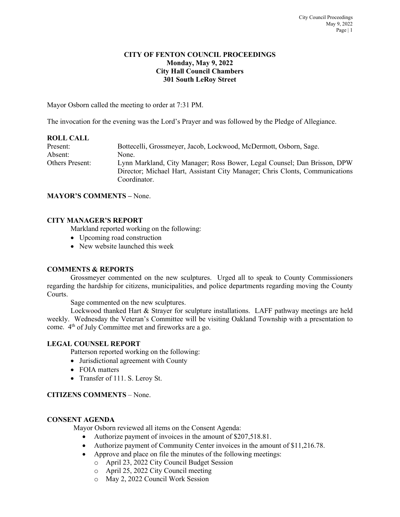#### **CITY OF FENTON COUNCIL PROCEEDINGS Monday, May 9, 2022 City Hall Council Chambers 301 South LeRoy Street**

Mayor Osborn called the meeting to order at 7:31 PM.

The invocation for the evening was the Lord's Prayer and was followed by the Pledge of Allegiance.

| <b>ROLL CALL</b> |                                                                                                                                                                          |
|------------------|--------------------------------------------------------------------------------------------------------------------------------------------------------------------------|
| Present:         | Bottecelli, Grossmeyer, Jacob, Lockwood, McDermott, Osborn, Sage.                                                                                                        |
| Absent:          | None.                                                                                                                                                                    |
| Others Present:  | Lynn Markland, City Manager; Ross Bower, Legal Counsel; Dan Brisson, DPW<br>Director; Michael Hart, Assistant City Manager; Chris Clonts, Communications<br>Coordinator. |

#### **MAYOR'S COMMENTS –** None.

### **CITY MANAGER'S REPORT**

Markland reported working on the following:

- Upcoming road construction
- New website launched this week

#### **COMMENTS & REPORTS**

Grossmeyer commented on the new sculptures. Urged all to speak to County Commissioners regarding the hardship for citizens, municipalities, and police departments regarding moving the County Courts.

Sage commented on the new sculptures.

Lockwood thanked Hart & Strayer for sculpture installations. LAFF pathway meetings are held weekly. Wednesday the Veteran's Committee will be visiting Oakland Township with a presentation to come. 4th of July Committee met and fireworks are a go.

#### **LEGAL COUNSEL REPORT**

Patterson reported working on the following:

- Jurisdictional agreement with County
- FOIA matters
- Transfer of 111. S. Leroy St.

## **CITIZENS COMMENTS** – None.

### **CONSENT AGENDA**

Mayor Osborn reviewed all items on the Consent Agenda:

- Authorize payment of invoices in the amount of \$207,518.81.
- Authorize payment of Community Center invoices in the amount of \$11,216.78.
- Approve and place on file the minutes of the following meetings:
	- o April 23, 2022 City Council Budget Session
	- o April 25, 2022 City Council meeting
	- o May 2, 2022 Council Work Session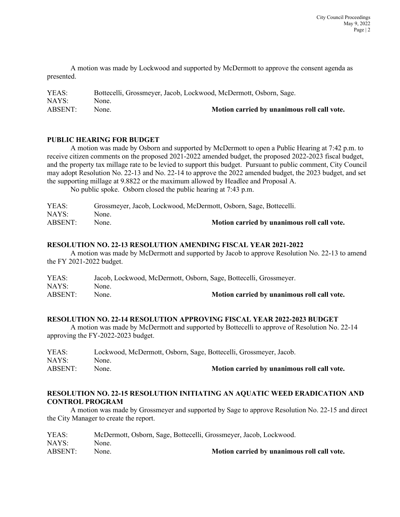A motion was made by Lockwood and supported by McDermott to approve the consent agenda as presented.

| YEAS:   | Bottecelli, Grossmeyer, Jacob, Lockwood, McDermott, Osborn, Sage. |                                             |
|---------|-------------------------------------------------------------------|---------------------------------------------|
| NAYS:   | None.                                                             |                                             |
| ABSENT: | None.                                                             | Motion carried by unanimous roll call vote. |

### **PUBLIC HEARING FOR BUDGET**

A motion was made by Osborn and supported by McDermott to open a Public Hearing at 7:42 p.m. to receive citizen comments on the proposed 2021-2022 amended budget, the proposed 2022-2023 fiscal budget, and the property tax millage rate to be levied to support this budget. Pursuant to public comment, City Council may adopt Resolution No. 22-13 and No. 22-14 to approve the 2022 amended budget, the 2023 budget, and set the supporting millage at 9.8822 or the maximum allowed by Headlee and Proposal A.

No public spoke. Osborn closed the public hearing at 7:43 p.m.

| YEAS:   | Grossmeyer, Jacob, Lockwood, McDermott, Osborn, Sage, Bottecelli. |                                             |
|---------|-------------------------------------------------------------------|---------------------------------------------|
| NAYS:   | None.                                                             |                                             |
| ABSENT: | None.                                                             | Motion carried by unanimous roll call vote. |

### **RESOLUTION NO. 22-13 RESOLUTION AMENDING FISCAL YEAR 2021-2022**

A motion was made by McDermott and supported by Jacob to approve Resolution No. 22-13 to amend the FY 2021-2022 budget.

| YEAS:   | Jacob, Lockwood, McDermott, Osborn, Sage, Bottecelli, Grossmeyer. |                                             |
|---------|-------------------------------------------------------------------|---------------------------------------------|
| NAYS:   | None.                                                             |                                             |
| ABSENT: | None.                                                             | Motion carried by unanimous roll call vote. |

### **RESOLUTION NO. 22-14 RESOLUTION APPROVING FISCAL YEAR 2022-2023 BUDGET**

A motion was made by McDermott and supported by Bottecelli to approve of Resolution No. 22-14 approving the FY-2022-2023 budget.

| YEAS:   | Lockwood, McDermott, Osborn, Sage, Bottecelli, Grossmeyer, Jacob. |                                             |
|---------|-------------------------------------------------------------------|---------------------------------------------|
| NAYS:   | None.                                                             |                                             |
| ABSENT: | None.                                                             | Motion carried by unanimous roll call vote. |

# **RESOLUTION NO. 22-15 RESOLUTION INITIATING AN AQUATIC WEED ERADICATION AND CONTROL PROGRAM**

A motion was made by Grossmeyer and supported by Sage to approve Resolution No. 22-15 and direct the City Manager to create the report.

| YEAS:   | McDermott, Osborn, Sage, Bottecelli, Grossmeyer, Jacob, Lockwood. |                                             |
|---------|-------------------------------------------------------------------|---------------------------------------------|
| NAYS:   | None.                                                             |                                             |
| ABSENT: | None.                                                             | Motion carried by unanimous roll call vote. |